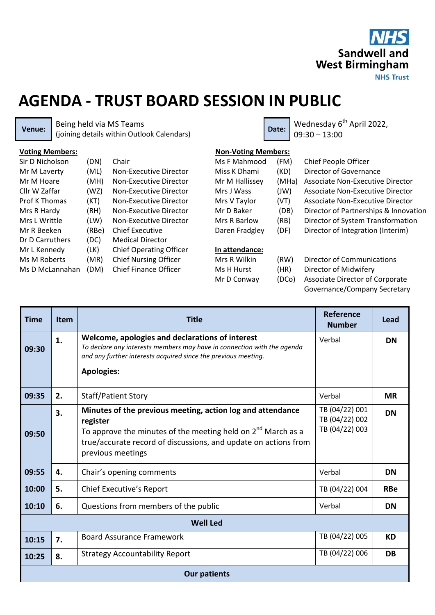

## **AGENDA - TRUST BOARD SESSION IN PUBLIC**

**Venue:** Being held via MS Teams Being held via MS Teams<br>(joining details within Outlook Calendars) **Date:** Date: 09:30 - 13:00

09:30 – 13:00

| <b>Voting Members:</b> |       |                                | <b>Non-Voting Members:</b> |       |                                       |
|------------------------|-------|--------------------------------|----------------------------|-------|---------------------------------------|
| Sir D Nicholson        | (DN)  | Chair                          | Ms F Mahmood               | (FM)  | Chief People Officer                  |
| Mr M Laverty           | (ML)  | Non-Executive Director         | Miss K Dhami               | (KD)  | Director of Governance                |
| Mr M Hoare             | (MH)  | Non-Executive Director         | Mr M Hallissey             | (MHa) | Associate Non-Executive Director      |
| Cllr W Zaffar          | (WZ)  | Non-Executive Director         | Mrs J Wass                 | J(W)  | Associate Non-Executive Director      |
| Prof K Thomas          | (KT)  | Non-Executive Director         | Mrs V Taylor               | (VT)  | Associate Non-Executive Director      |
| Mrs R Hardy            | (RH)  | Non-Executive Director         | Mr D Baker                 | (DB)  | Director of Partnerships & Innovation |
| Mrs L Writtle          | (LW)  | Non-Executive Director         | Mrs R Barlow               | (RB)  | Director of System Transformation     |
| Mr R Beeken            | (RBe) | <b>Chief Executive</b>         | Daren Fradgley             | (DF)  | Director of Integration (Interim)     |
| Dr D Carruthers        | (DC)  | <b>Medical Director</b>        |                            |       |                                       |
| Mr L Kennedy           | (LK)  | <b>Chief Operating Officer</b> | In attendance:             |       |                                       |
| Ms M Roberts           | (MR)  | <b>Chief Nursing Officer</b>   | Mrs R Wilkin               | (RW)  | Director of Communications            |
| Ms D McLannahan        | (DM)  | <b>Chief Finance Officer</b>   | Ms H Hurst                 | (HR)  | Director of Midwifery                 |

(DCo) Associate Director of Corporate ifery Governance/Company Secretary

| <b>Time</b>         | <b>Item</b> | <b>Title</b>                                                                                                                                                                                                                        | <b>Reference</b><br><b>Number</b>                  | Lead       |  |  |  |  |
|---------------------|-------------|-------------------------------------------------------------------------------------------------------------------------------------------------------------------------------------------------------------------------------------|----------------------------------------------------|------------|--|--|--|--|
| 09:30               | 1.          | Welcome, apologies and declarations of interest<br>To declare any interests members may have in connection with the agenda<br>and any further interests acquired since the previous meeting.<br><b>Apologies:</b>                   | Verbal                                             | <b>DN</b>  |  |  |  |  |
| 09:35               | 2.          | <b>Staff/Patient Story</b>                                                                                                                                                                                                          | Verbal                                             | <b>MR</b>  |  |  |  |  |
| 09:50               | 3.          | Minutes of the previous meeting, action log and attendance<br>register<br>To approve the minutes of the meeting held on $2^{nd}$ March as a<br>true/accurate record of discussions, and update on actions from<br>previous meetings | TB (04/22) 001<br>TB (04/22) 002<br>TB (04/22) 003 | <b>DN</b>  |  |  |  |  |
| 09:55               | 4.          | Chair's opening comments                                                                                                                                                                                                            | Verbal                                             | <b>DN</b>  |  |  |  |  |
| 10:00               | 5.          | Chief Executive's Report                                                                                                                                                                                                            | TB (04/22) 004                                     | <b>RBe</b> |  |  |  |  |
| 10:10               | 6.          | Questions from members of the public                                                                                                                                                                                                | Verbal                                             | <b>DN</b>  |  |  |  |  |
| <b>Well Led</b>     |             |                                                                                                                                                                                                                                     |                                                    |            |  |  |  |  |
| 10:15               | 7.          | <b>Board Assurance Framework</b>                                                                                                                                                                                                    | TB (04/22) 005                                     | <b>KD</b>  |  |  |  |  |
| 10:25               | 8.          | <b>Strategy Accountability Report</b>                                                                                                                                                                                               | TB (04/22) 006                                     | <b>DB</b>  |  |  |  |  |
| <b>Our patients</b> |             |                                                                                                                                                                                                                                     |                                                    |            |  |  |  |  |

Mr D Conway